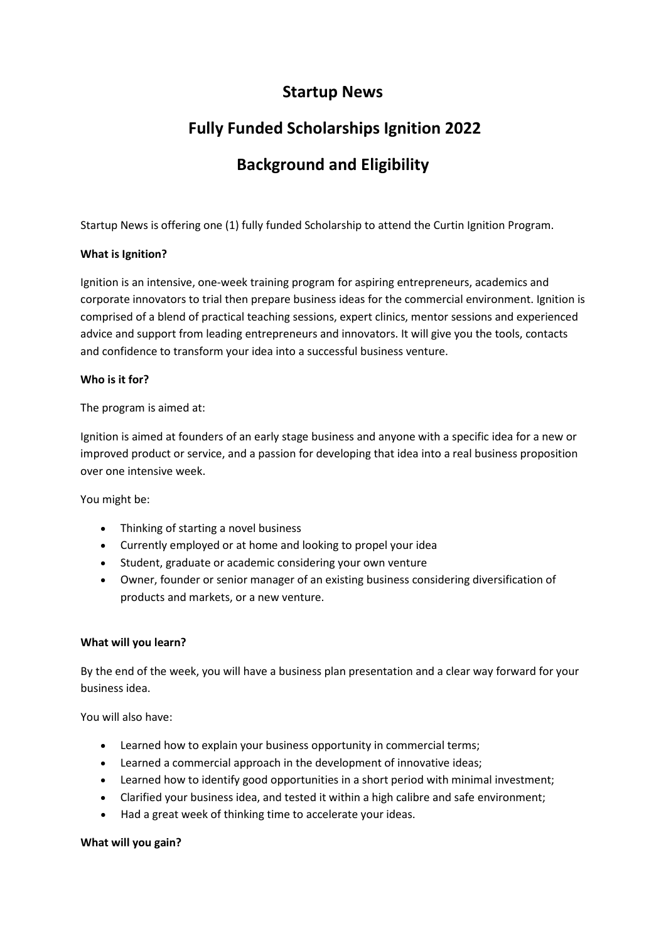## **Startup News**

# **Fully Funded Scholarships Ignition 2022**

# **Background and Eligibility**

Startup News is offering one (1) fully funded Scholarship to attend the Curtin Ignition Program.

### **What is Ignition?**

Ignition is an intensive, one-week training program for aspiring entrepreneurs, academics and corporate innovators to trial then prepare business ideas for the commercial environment. Ignition is comprised of a blend of practical teaching sessions, expert clinics, mentor sessions and experienced advice and support from leading entrepreneurs and innovators. It will give you the tools, contacts and confidence to transform your idea into a successful business venture.

#### **Who is it for?**

The program is aimed at:

Ignition is aimed at founders of an early stage business and anyone with a specific idea for a new or improved product or service, and a passion for developing that idea into a real business proposition over one intensive week.

You might be:

- Thinking of starting a novel business
- Currently employed or at home and looking to propel your idea
- Student, graduate or academic considering your own venture
- Owner, founder or senior manager of an existing business considering diversification of products and markets, or a new venture.

#### **What will you learn?**

By the end of the week, you will have a business plan presentation and a clear way forward for your business idea.

You will also have:

- Learned how to explain your business opportunity in commercial terms;
- Learned a commercial approach in the development of innovative ideas;
- Learned how to identify good opportunities in a short period with minimal investment;
- Clarified your business idea, and tested it within a high calibre and safe environment;
- Had a great week of thinking time to accelerate your ideas.

#### **What will you gain?**